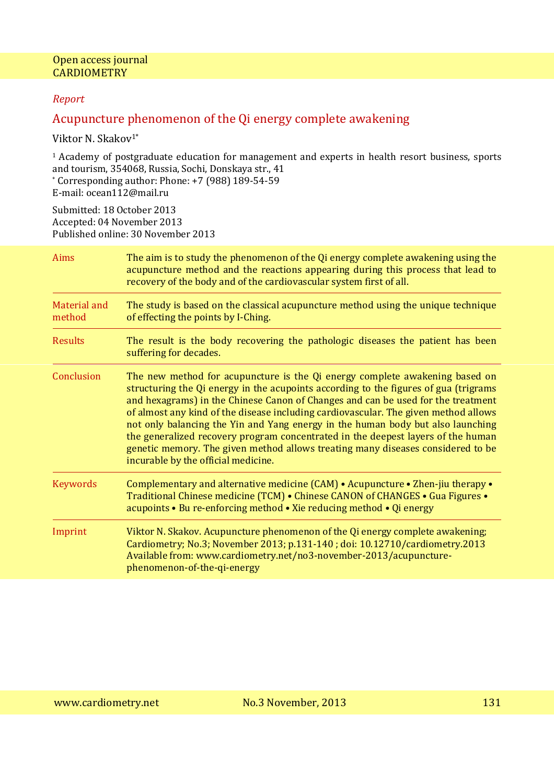## *Report*

# Acupuncture phenomenon of the Qi energy complete awakening

Viktor N. Skakov<sup>1\*</sup>

<sup>1</sup> Academy of postgraduate education for management and experts in health resort business, sports and tourism, 354068, Russia, Sochi, Donskaya str., 41

\* Corresponding author: Phone: +7 (988) 189-54-59 E-mail: ocean112@mail.ru

Submitted: 18 October 2013 Accepted: 04 November 2013 Published online: 30 November 2013

| Aims                   | The aim is to study the phenomenon of the Qi energy complete awakening using the<br>acupuncture method and the reactions appearing during this process that lead to<br>recovery of the body and of the cardiovascular system first of all.                                                                                                                                                                                                                                                                                                                                                                                                      |
|------------------------|-------------------------------------------------------------------------------------------------------------------------------------------------------------------------------------------------------------------------------------------------------------------------------------------------------------------------------------------------------------------------------------------------------------------------------------------------------------------------------------------------------------------------------------------------------------------------------------------------------------------------------------------------|
| Material and<br>method | The study is based on the classical acupuncture method using the unique technique<br>of effecting the points by I-Ching.                                                                                                                                                                                                                                                                                                                                                                                                                                                                                                                        |
| <b>Results</b>         | The result is the body recovering the pathologic diseases the patient has been<br>suffering for decades.                                                                                                                                                                                                                                                                                                                                                                                                                                                                                                                                        |
| Conclusion             | The new method for acupuncture is the Qi energy complete awakening based on<br>structuring the Qi energy in the acupoints according to the figures of gua (trigrams<br>and hexagrams) in the Chinese Canon of Changes and can be used for the treatment<br>of almost any kind of the disease including cardiovascular. The given method allows<br>not only balancing the Yin and Yang energy in the human body but also launching<br>the generalized recovery program concentrated in the deepest layers of the human<br>genetic memory. The given method allows treating many diseases considered to be<br>incurable by the official medicine. |
| <b>Keywords</b>        | Complementary and alternative medicine $(CAM)$ • Acupuncture • Zhen-jiu therapy •<br>Traditional Chinese medicine (TCM) • Chinese CANON of CHANGES • Gua Figures •<br>acupoints • Bu re-enforcing method • Xie reducing method • Qi energy                                                                                                                                                                                                                                                                                                                                                                                                      |
| Imprint                | Viktor N. Skakov. Acupuncture phenomenon of the Qi energy complete awakening;<br>Cardiometry; No.3; November 2013; p.131-140; doi: 10.12710/cardiometry.2013<br>Available from: www.cardiometry.net/no3-november-2013/acupuncture-<br>phenomenon-of-the-qi-energy                                                                                                                                                                                                                                                                                                                                                                               |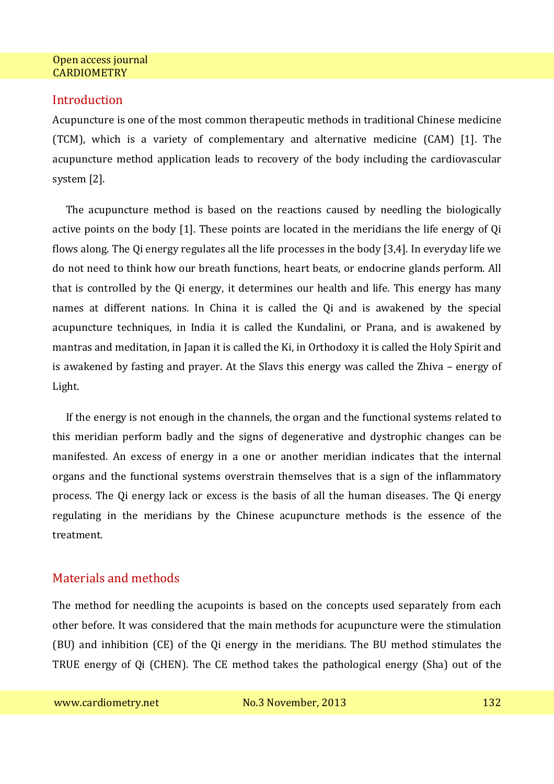## **Introduction**

Acupuncture is one of the most common therapeutic methods in traditional Chinese medicine (TCM), which is a variety of complementary and alternative medicine (CAM) [1]. The acupuncture method application leads to recovery of the body including the cardiovascular system [2].

The acupuncture method is based on the reactions caused by needling the biologically active points on the body [1]. These points are located in the meridians the life energy of Qi flows along. The Qi energy regulates all the life processes in the body [3,4]. In everyday life we do not need to think how our breath functions, heart beats, or endocrine glands perform. All that is controlled by the Qi energy, it determines our health and life. This energy has many names at different nations. In China it is called the Qi and is awakened by the special acupuncture techniques, in India it is called the Kundalini, or Prana, and is awakened by mantras and meditation, in Japan it is called the Ki, in Orthodoxy it is called the Holy Spirit and is awakened by fasting and prayer. At the Slavs this energy was called the Zhiva – energy of Light.

If the energy is not enough in the channels, the organ and the functional systems related to this meridian perform badly and the signs of degenerative and dystrophic changes can be manifested. An excess of energy in a one or another meridian indicates that the internal organs and the functional systems overstrain themselves that is a sign of the inflammatory process. The Qi energy lack or excess is the basis of all the human diseases. The Qi energy regulating in the meridians by the Chinese acupuncture methods is the essence of the treatment.

# Materials and methods

The method for needling the acupoints is based on the concepts used separately from each other before. It was considered that the main methods for acupuncture were the stimulation (BU) and inhibition (CE) of the Qi energy in the meridians. The BU method stimulates the TRUE energy of Qi (CHEN). The CE method takes the pathological energy (Sha) out of the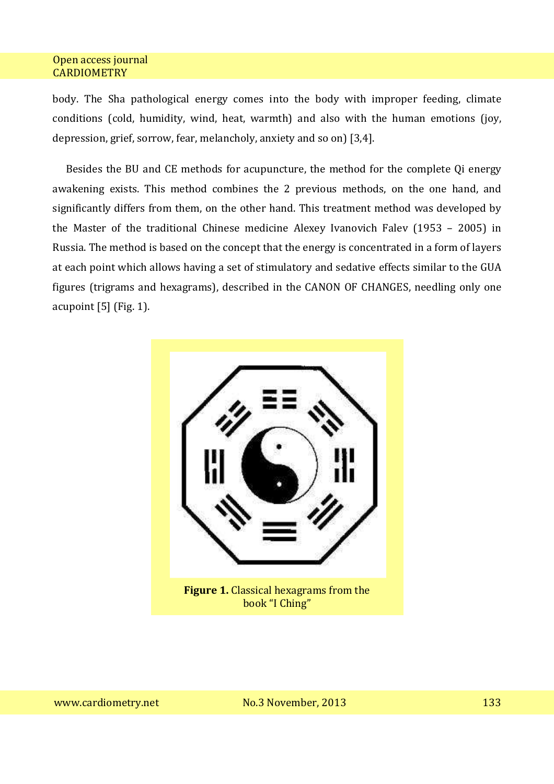body. The Sha pathological energy comes into the body with improper feeding, climate conditions (cold, humidity, wind, heat, warmth) and also with the human emotions (joy, depression, grief, sorrow, fear, melancholy, anxiety and so on) [3,4].

Besides the BU and CE methods for acupuncture, the method for the complete Qi energy awakening exists. This method combines the 2 previous methods, on the one hand, and significantly differs from them, on the other hand. This treatment method was developed by the Master of the traditional Chinese medicine Alexey Ivanovich Falev (1953 – 2005) in Russia. The method is based on the concept that the energy is concentrated in a form of layers at each point which allows having a set of stimulatory and sedative effects similar to the GUA figures (trigrams and hexagrams), described in the CANON OF CHANGES, needling only one acupoint [5] (Fig. 1).

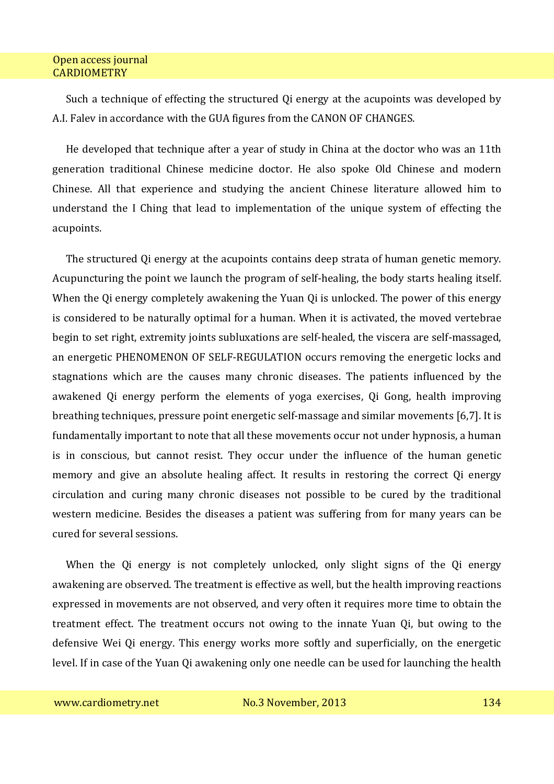Such a technique of effecting the structured Qi energy at the acupoints was developed by A.I. Falev in accordance with the GUA figures from the CANON OF CHANGES.

He developed that technique after a year of study in China at the doctor who was an 11th generation traditional Chinese medicine doctor. He also spoke Old Chinese and modern Chinese. All that experience and studying the ancient Chinese literature allowed him to understand the I Ching that lead to implementation of the unique system of effecting the acupoints.

The structured Qi energy at the acupoints contains deep strata of human genetic memory. Acupuncturing the point we launch the program of self-healing, the body starts healing itself. When the Qi energy completely awakening the Yuan Qi is unlocked. The power of this energy is considered to be naturally optimal for a human. When it is activated, the moved vertebrae begin to set right, extremity joints subluxations are self-healed, the viscera are self-massaged, an energetic PHENOMENON OF SELF-REGULATION occurs removing the energetic locks and stagnations which are the causes many chronic diseases. The patients influenced by the awakened Qi energy perform the elements of yoga exercises, Qi Gong, health improving breathing techniques, pressure point energetic self-massage and similar movements [6,7]. It is fundamentally important to note that all these movements occur not under hypnosis, a human is in conscious, but cannot resist. They occur under the influence of the human genetic memory and give an absolute healing affect. It results in restoring the correct Qi energy circulation and curing many chronic diseases not possible to be cured by the traditional western medicine. Besides the diseases a patient was suffering from for many years can be cured for several sessions.

When the Qi energy is not completely unlocked, only slight signs of the Qi energy awakening are observed. The treatment is effective as well, but the health improving reactions expressed in movements are not observed, and very often it requires more time to obtain the treatment effect. The treatment occurs not owing to the innate Yuan Qi, but owing to the defensive Wei Qi energy. This energy works more softly and superficially, on the energetic level. If in case of the Yuan Qi awakening only one needle can be used for launching the health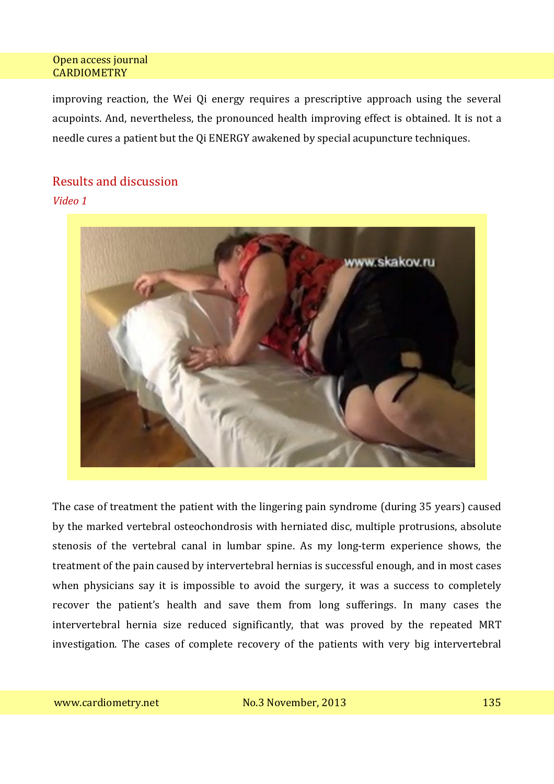improving reaction, the Wei Qi energy requires a prescriptive approach using the several acupoints. And, nevertheless, the pronounced health improving effect is obtained. It is not a needle cures a patient but the Qi ENERGY awakened by special acupuncture techniques.

## Results and discussion

*Video 1* 



The case of treatment the patient with the lingering pain syndrome (during 35 years) caused by the marked vertebral osteochondrosis with herniated disc, multiple protrusions, absolute stenosis of the vertebral canal in lumbar spine. As my long-term experience shows, the treatment of the pain caused by intervertebral hernias is successful enough, and in most cases when physicians say it is impossible to avoid the surgery, it was a success to completely recover the patient's health and save them from long sufferings. In many cases the intervertebral hernia size reduced significantly, that was proved by the repeated MRT investigation. The cases of complete recovery of the patients with very big intervertebral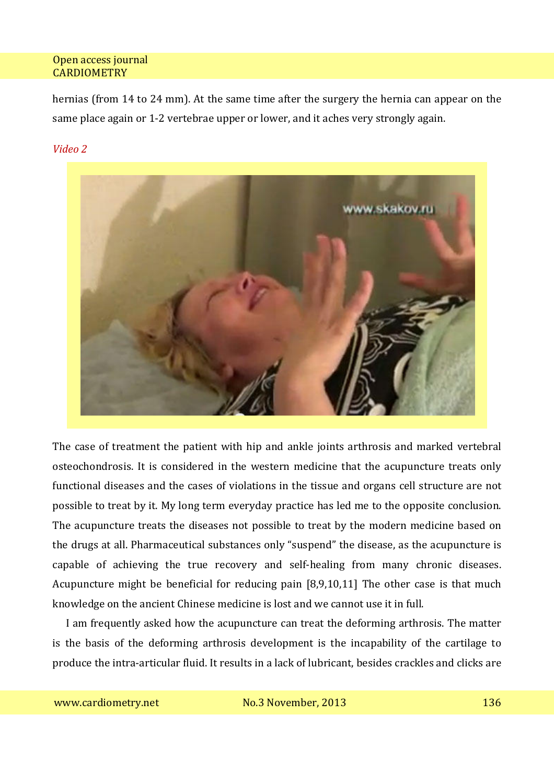hernias (from 14 to 24 mm). At the same time after the surgery the hernia can appear on the same place again or 1-2 vertebrae upper or lower, and it aches very strongly again.

#### *Video 2*



The case of treatment the patient with hip and ankle joints arthrosis and marked vertebral osteochondrosis. It is considered in the western medicine that the acupuncture treats only functional diseases and the cases of violations in the tissue and organs cell structure are not possible to treat by it. My long term everyday practice has led me to the opposite conclusion. The acupuncture treats the diseases not possible to treat by the modern medicine based on the drugs at all. Pharmaceutical substances only "suspend" the disease, as the acupuncture is capable of achieving the true recovery and self-healing from many chronic diseases. Acupuncture might be beneficial for reducing pain [8,9,10,11] The other case is that much knowledge on the ancient Chinese medicine is lost and we cannot use it in full.

I am frequently asked how the acupuncture can treat the deforming arthrosis. The matter is the basis of the deforming arthrosis development is the incapability of the cartilage to produce the intra-articular fluid. It results in a lack of lubricant, besides crackles and clicks are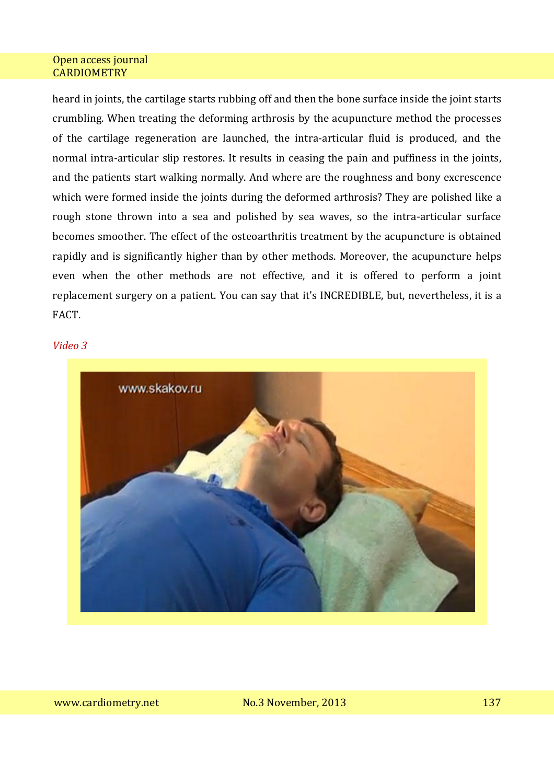heard in joints, the cartilage starts rubbing off and then the bone surface inside the joint starts crumbling. When treating the deforming arthrosis by the acupuncture method the processes of the cartilage regeneration are launched, the intra-articular fluid is produced, and the normal intra-articular slip restores. It results in ceasing the pain and puffiness in the joints, and the patients start walking normally. And where are the roughness and bony excrescence which were formed inside the joints during the deformed arthrosis? They are polished like a rough stone thrown into a sea and polished by sea waves, so the intra-articular surface becomes smoother. The effect of the osteoarthritis treatment by the acupuncture is obtained rapidly and is significantly higher than by other methods. Moreover, the acupuncture helps even when the other methods are not effective, and it is offered to perform a joint replacement surgery on a patient. You can say that it's INCREDIBLE, but, nevertheless, it is a FACT.

#### *Video 3*

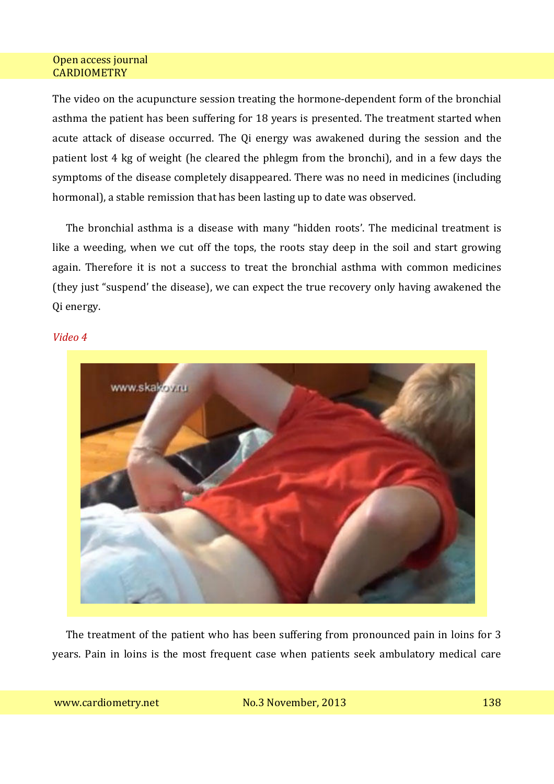The video on the acupuncture session treating the hormone-dependent form of the bronchial asthma the patient has been suffering for 18 years is presented. The treatment started when acute attack of disease occurred. The Qi energy was awakened during the session and the patient lost 4 kg of weight (he cleared the phlegm from the bronchi), and in a few days the symptoms of the disease completely disappeared. There was no need in medicines (including hormonal), a stable remission that has been lasting up to date was observed.

The bronchial asthma is a disease with many "hidden roots'. The medicinal treatment is like a weeding, when we cut off the tops, the roots stay deep in the soil and start growing again. Therefore it is not a success to treat the bronchial asthma with common medicines (they just "suspend' the disease), we can expect the true recovery only having awakened the Qi energy.

#### *Video 4*



The treatment of the patient who has been suffering from pronounced pain in loins for 3 years. Pain in loins is the most frequent case when patients seek ambulatory medical care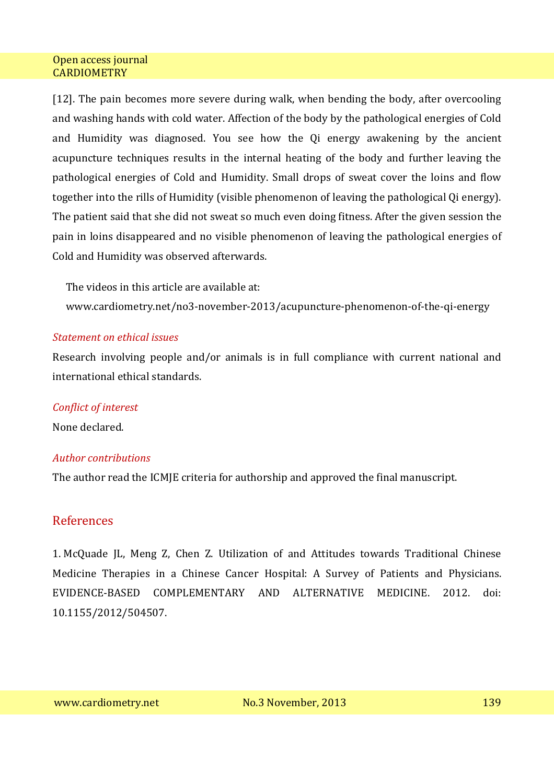[12]. The pain becomes more severe during walk, when bending the body, after overcooling and washing hands with cold water. Affection of the body by the pathological energies of Cold and Humidity was diagnosed. You see how the Qi energy awakening by the ancient acupuncture techniques results in the internal heating of the body and further leaving the pathological energies of Cold and Humidity. Small drops of sweat cover the loins and flow together into the rills of Humidity (visible phenomenon of leaving the pathological Qi energy). The patient said that she did not sweat so much even doing fitness. After the given session the pain in loins disappeared and no visible phenomenon of leaving the pathological energies of Cold and Humidity was observed afterwards.

The videos in this article are available at:

www.cardiometry.net/no3-november-2013/acupuncture-phenomenon-of-the-qi-energy

### *Statement on ethical issues*

Research involving people and/or animals is in full compliance with current national and international ethical standards.

## *Conflict of interest*

None declared.

## *Author contributions*

The author read the ICMJE criteria for authorship and approved the final manuscript.

## References

1. McQuade JL, Meng Z, Chen Z. Utilization of and Attitudes towards Traditional Chinese Medicine Therapies in a Chinese Cancer Hospital: A Survey of Patients and Physicians. EVIDENCE-BASED COMPLEMENTARY AND ALTERNATIVE MEDICINE. 2012. doi: 10.1155/2012/504507.